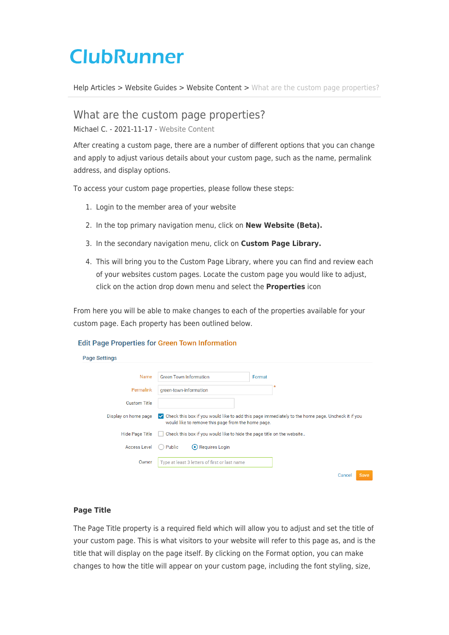# **ClubRunner**

[Help Articles](https://www.clubrunnersupport.com/kb) > [Website Guides](https://www.clubrunnersupport.com/kb/website-guides) > [Website Content](https://www.clubrunnersupport.com/kb/website-content) > [What are the custom page properties?](https://www.clubrunnersupport.com/kb/articles/what-are-the-custom-page-properties)

What are the custom page properties?

Michael C. - 2021-11-17 - [Website Content](https://www.clubrunnersupport.com/kb/website-content)

After creating a custom page, there are a number of different options that you can change and apply to adjust various details about your custom page, such as the name, permalink address, and display options.

To access your custom page properties, please follow these steps:

- 1. Login to the member area of your website
- 2. In the top primary navigation menu, click on **New Website (Beta).**
- 3. In the secondary navigation menu, click on **Custom Page Library.**
- 4. This will bring you to the Custom Page Library, where you can find and review each of your websites custom pages. Locate the custom page you would like to adjust, click on the action drop down menu and select the **Properties** icon

From here you will be able to make changes to each of the properties available for your custom page. Each property has been outlined below.

## **Edit Page Properties for Green Town Information**

| age Settings         |                                                                                                                                                           |
|----------------------|-----------------------------------------------------------------------------------------------------------------------------------------------------------|
|                      |                                                                                                                                                           |
| Name                 | <b>Green Town Information</b><br>Format                                                                                                                   |
| Permalink            | green-town-information                                                                                                                                    |
| <b>Custom Title</b>  |                                                                                                                                                           |
| Display on home page | ► Check this box if you would like to add this page immediately to the home page. Uncheck it if you<br>would like to remove this page from the home page. |
| Hide Page Title      | Check this box if you would like to hide the page title on the website                                                                                    |
| <b>Access Level</b>  | Requires Login<br>Public                                                                                                                                  |
| Owner                | Type at least 3 letters of first or last name                                                                                                             |
|                      | Cancel<br>Save                                                                                                                                            |

## **Page Title**

P

The Page Title property is a required field which will allow you to adjust and set the title of your custom page. This is what visitors to your website will refer to this page as, and is the title that will display on the page itself. By clicking on the Format option, you can make changes to how the title will appear on your custom page, including the font styling, size,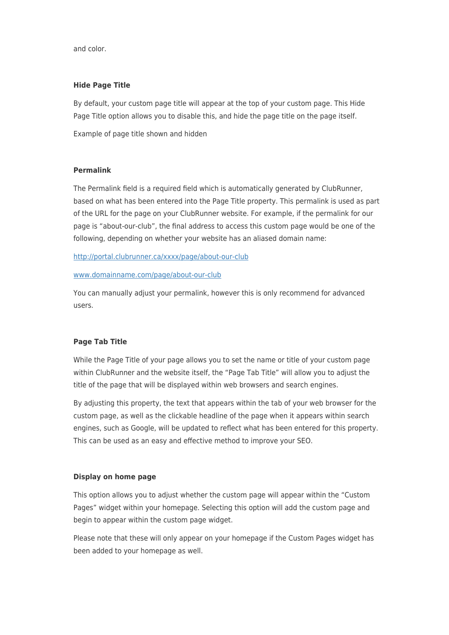and color.

### **Hide Page Title**

By default, your custom page title will appear at the top of your custom page. This Hide Page Title option allows you to disable this, and hide the page title on the page itself.

Example of page title shown and hidden

#### **Permalink**

The Permalink field is a required field which is automatically generated by ClubRunner, based on what has been entered into the Page Title property. This permalink is used as part of the URL for the page on your ClubRunner website. For example, if the permalink for our page is "about-our-club", the final address to access this custom page would be one of the following, depending on whether your website has an aliased domain name:

<http://portal.clubrunner.ca/xxxx/page/about-our-club>

#### [www.domainname.com/page/about-our-club](http://www.domainname.com/page/about-our-club)

You can manually adjust your permalink, however this is only recommend for advanced users.

## **Page Tab Title**

While the Page Title of your page allows you to set the name or title of your custom page within ClubRunner and the website itself, the "Page Tab Title" will allow you to adjust the title of the page that will be displayed within web browsers and search engines.

By adjusting this property, the text that appears within the tab of your web browser for the custom page, as well as the clickable headline of the page when it appears within search engines, such as Google, will be updated to reflect what has been entered for this property. This can be used as an easy and effective method to improve your SEO.

#### **Display on home page**

This option allows you to adjust whether the custom page will appear within the "Custom Pages" widget within your homepage. Selecting this option will add the custom page and begin to appear within the custom page widget.

Please note that these will only appear on your homepage if the Custom Pages widget has been added to your homepage as well.